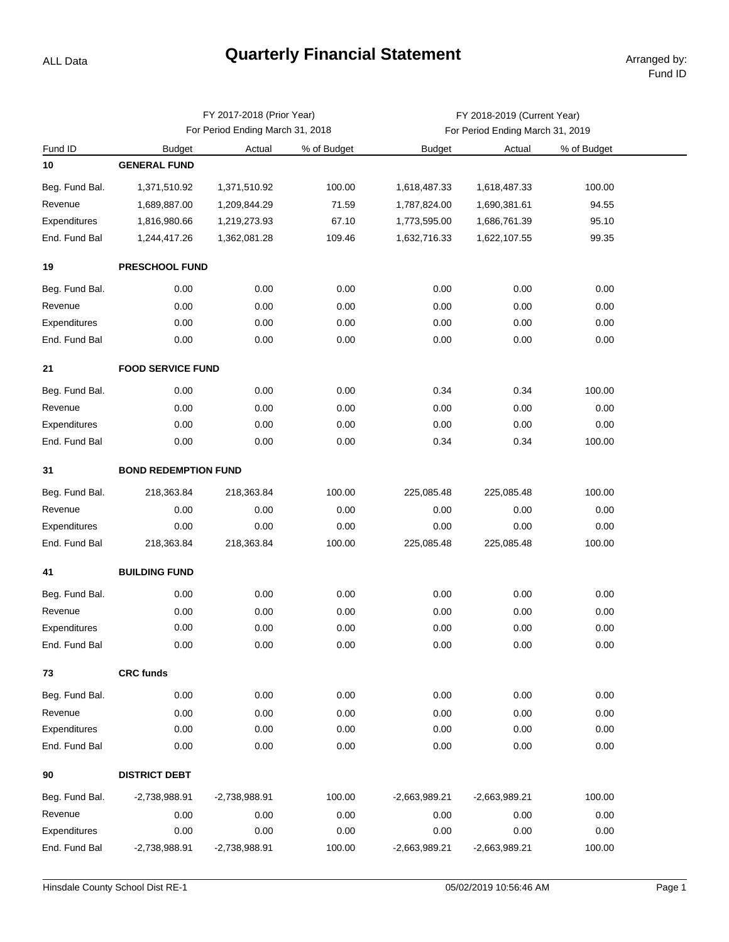## **Quarterly Financial Statement Arranged by:**

ALL Data

|                |                             | FY 2017-2018 (Prior Year)        |             | FY 2018-2019 (Current Year)      |                 |             |  |  |  |  |
|----------------|-----------------------------|----------------------------------|-------------|----------------------------------|-----------------|-------------|--|--|--|--|
|                |                             | For Period Ending March 31, 2018 |             | For Period Ending March 31, 2019 |                 |             |  |  |  |  |
| Fund ID        | <b>Budget</b>               | Actual                           | % of Budget | <b>Budget</b>                    | Actual          | % of Budget |  |  |  |  |
| 10             | <b>GENERAL FUND</b>         |                                  |             |                                  |                 |             |  |  |  |  |
| Beg. Fund Bal. | 1,371,510.92                | 1,371,510.92                     | 100.00      | 1,618,487.33                     | 1,618,487.33    | 100.00      |  |  |  |  |
| Revenue        | 1,689,887.00                | 1,209,844.29                     | 71.59       | 1,787,824.00                     | 1,690,381.61    | 94.55       |  |  |  |  |
| Expenditures   | 1,816,980.66                | 1,219,273.93                     | 67.10       | 1,773,595.00                     | 1,686,761.39    | 95.10       |  |  |  |  |
| End. Fund Bal  | 1,244,417.26                | 1,362,081.28                     | 109.46      | 1,632,716.33                     | 1,622,107.55    | 99.35       |  |  |  |  |
| 19             | <b>PRESCHOOL FUND</b>       |                                  |             |                                  |                 |             |  |  |  |  |
| Beg. Fund Bal. | 0.00                        | 0.00                             | 0.00        | 0.00                             | 0.00            | 0.00        |  |  |  |  |
| Revenue        | 0.00                        | 0.00                             | 0.00        | 0.00                             | 0.00            | 0.00        |  |  |  |  |
| Expenditures   | 0.00                        | 0.00                             | 0.00        | 0.00                             | 0.00            | 0.00        |  |  |  |  |
| End. Fund Bal  | 0.00                        | 0.00                             | 0.00        | 0.00                             | 0.00            | 0.00        |  |  |  |  |
| 21             | <b>FOOD SERVICE FUND</b>    |                                  |             |                                  |                 |             |  |  |  |  |
| Beg. Fund Bal. | 0.00                        | 0.00                             | 0.00        | 0.34                             | 0.34            | 100.00      |  |  |  |  |
| Revenue        | 0.00                        | 0.00                             | 0.00        | 0.00                             | 0.00            | 0.00        |  |  |  |  |
| Expenditures   | 0.00                        | 0.00                             | 0.00        | 0.00                             | 0.00            | 0.00        |  |  |  |  |
| End. Fund Bal  | 0.00                        | 0.00                             | 0.00        | 0.34                             | 0.34            | 100.00      |  |  |  |  |
| 31             | <b>BOND REDEMPTION FUND</b> |                                  |             |                                  |                 |             |  |  |  |  |
| Beg. Fund Bal. | 218,363.84                  | 218,363.84                       | 100.00      | 225,085.48                       | 225,085.48      | 100.00      |  |  |  |  |
| Revenue        | 0.00                        | 0.00                             | 0.00        | 0.00                             | 0.00            | 0.00        |  |  |  |  |
| Expenditures   | 0.00                        | 0.00                             | 0.00        | 0.00                             | 0.00            | 0.00        |  |  |  |  |
| End. Fund Bal  | 218,363.84                  | 218,363.84                       | 100.00      | 225,085.48                       | 225,085.48      | 100.00      |  |  |  |  |
| 41             | <b>BUILDING FUND</b>        |                                  |             |                                  |                 |             |  |  |  |  |
| Beg. Fund Bal. | 0.00                        | 0.00                             | 0.00        | 0.00                             | 0.00            | 0.00        |  |  |  |  |
| Revenue        | 0.00                        | 0.00                             | 0.00        | 0.00                             | 0.00            | 0.00        |  |  |  |  |
| Expenditures   | 0.00                        | 0.00                             | 0.00        | 0.00                             | 0.00            | 0.00        |  |  |  |  |
| End. Fund Bal  | 0.00                        | 0.00                             | 0.00        | 0.00                             | 0.00            | 0.00        |  |  |  |  |
| 73             | <b>CRC funds</b>            |                                  |             |                                  |                 |             |  |  |  |  |
| Beg. Fund Bal. | 0.00                        | 0.00                             | 0.00        | 0.00                             | 0.00            | 0.00        |  |  |  |  |
| Revenue        | 0.00                        | 0.00                             | 0.00        | 0.00                             | 0.00            | 0.00        |  |  |  |  |
| Expenditures   | 0.00                        | 0.00                             | 0.00        | 0.00                             | 0.00            | 0.00        |  |  |  |  |
| End. Fund Bal  | 0.00                        | 0.00                             | 0.00        | 0.00                             | 0.00            | 0.00        |  |  |  |  |
| 90             | <b>DISTRICT DEBT</b>        |                                  |             |                                  |                 |             |  |  |  |  |
| Beg. Fund Bal. | -2,738,988.91               | $-2,738,988.91$                  | 100.00      | $-2,663,989.21$                  | $-2,663,989.21$ | 100.00      |  |  |  |  |
| Revenue        | 0.00                        | 0.00                             | 0.00        | 0.00                             | 0.00            | 0.00        |  |  |  |  |
| Expenditures   | 0.00                        | 0.00                             | 0.00        | 0.00                             | 0.00            | 0.00        |  |  |  |  |
| End. Fund Bal  | -2,738,988.91               | -2,738,988.91                    | 100.00      | $-2,663,989.21$                  | $-2,663,989.21$ | 100.00      |  |  |  |  |